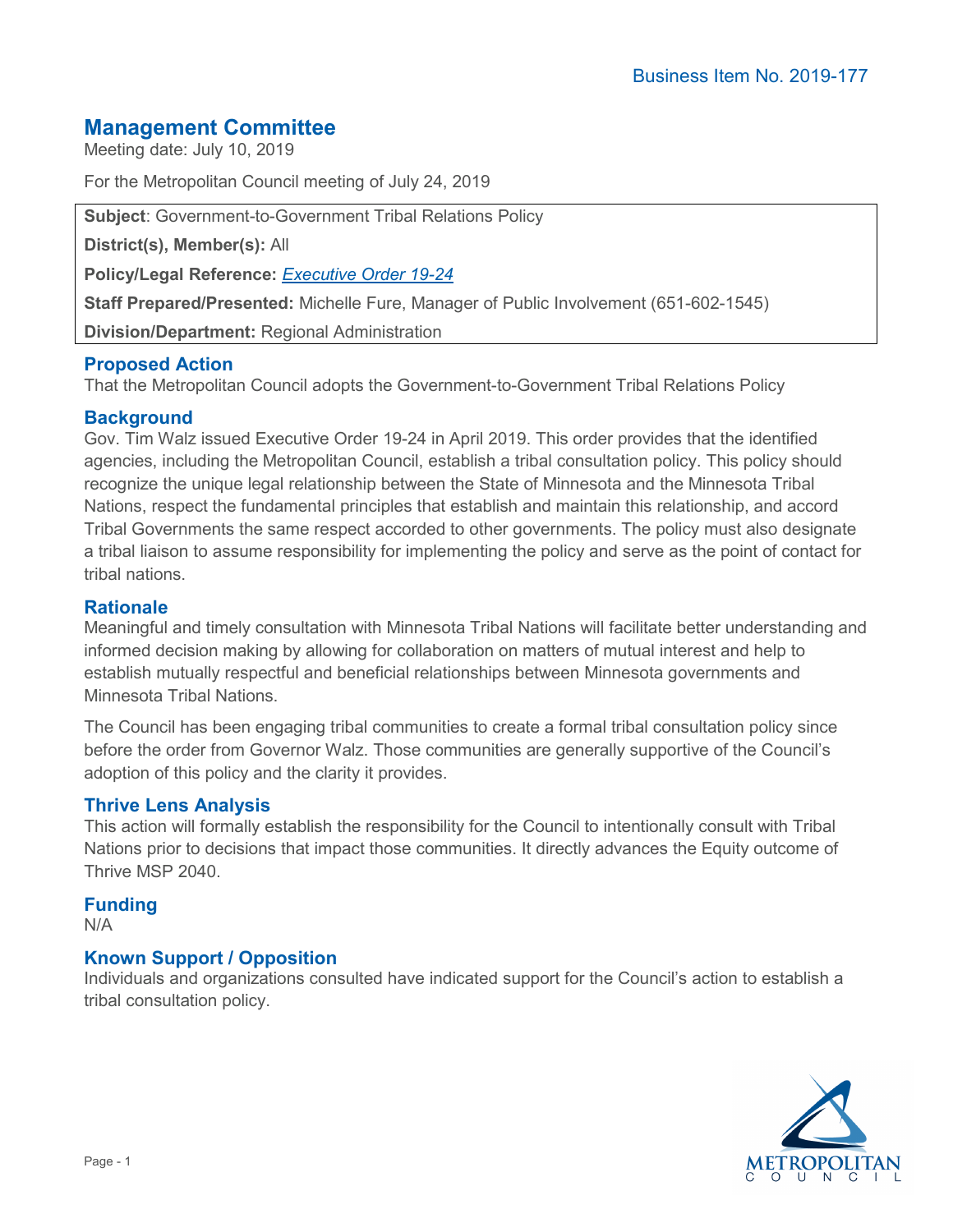# **Management Committee**

Meeting date: July 10, 2019

For the Metropolitan Council meeting of July 24, 2019

**Subject**: Government-to-Government Tribal Relations Policy

**District(s), Member(s):** All

**Policy/Legal Reference:** *[Executive Order 19-24](https://mn.gov/governor/assets/2019_04_04_EO_19-24_tcm1055-378654.pdf)*

**Staff Prepared/Presented:** Michelle Fure, Manager of Public Involvement (651-602-1545)

**Division/Department:** Regional Administration

### **Proposed Action**

That the Metropolitan Council adopts the Government-to-Government Tribal Relations Policy

### **Background**

Gov. Tim Walz issued Executive Order 19-24 in April 2019. This order provides that the identified agencies, including the Metropolitan Council, establish a tribal consultation policy. This policy should recognize the unique legal relationship between the State of Minnesota and the Minnesota Tribal Nations, respect the fundamental principles that establish and maintain this relationship, and accord Tribal Governments the same respect accorded to other governments. The policy must also designate a tribal liaison to assume responsibility for implementing the policy and serve as the point of contact for tribal nations.

### **Rationale**

Meaningful and timely consultation with Minnesota Tribal Nations will facilitate better understanding and informed decision making by allowing for collaboration on matters of mutual interest and help to establish mutually respectful and beneficial relationships between Minnesota governments and Minnesota Tribal Nations.

The Council has been engaging tribal communities to create a formal tribal consultation policy since before the order from Governor Walz. Those communities are generally supportive of the Council's adoption of this policy and the clarity it provides.

### **Thrive Lens Analysis**

This action will formally establish the responsibility for the Council to intentionally consult with Tribal Nations prior to decisions that impact those communities. It directly advances the Equity outcome of Thrive MSP 2040.

# **Funding**

N/A

## **Known Support / Opposition**

Individuals and organizations consulted have indicated support for the Council's action to establish a tribal consultation policy.

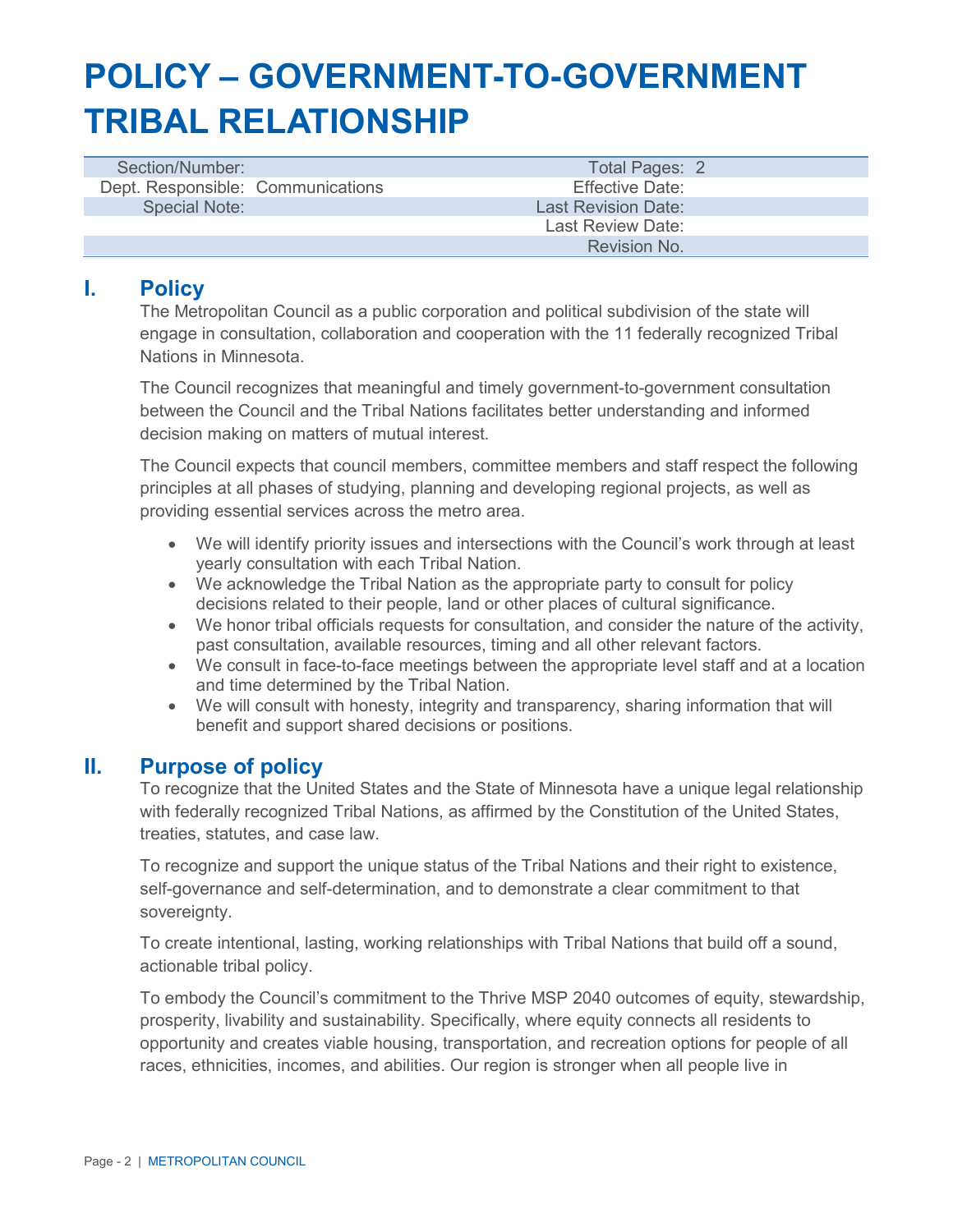# **POLICY – GOVERNMENT-TO-GOVERNMENT TRIBAL RELATIONSHIP**

| Section/Number:                   | Total Pages: 2             |
|-----------------------------------|----------------------------|
| Dept. Responsible: Communications | Effective Date:            |
| <b>Special Note:</b>              | <b>Last Revision Date:</b> |
|                                   | Last Review Date:          |
|                                   | Revision No.               |

# **I. Policy**

The Metropolitan Council as a public corporation and political subdivision of the state will engage in consultation, collaboration and cooperation with the 11 federally recognized Tribal Nations in Minnesota.

The Council recognizes that meaningful and timely government-to-government consultation between the Council and the Tribal Nations facilitates better understanding and informed decision making on matters of mutual interest.

The Council expects that council members, committee members and staff respect the following principles at all phases of studying, planning and developing regional projects, as well as providing essential services across the metro area.

- We will identify priority issues and intersections with the Council's work through at least yearly consultation with each Tribal Nation.
- We acknowledge the Tribal Nation as the appropriate party to consult for policy decisions related to their people, land or other places of cultural significance.
- We honor tribal officials requests for consultation, and consider the nature of the activity, past consultation, available resources, timing and all other relevant factors.
- We consult in face-to-face meetings between the appropriate level staff and at a location and time determined by the Tribal Nation.
- We will consult with honesty, integrity and transparency, sharing information that will benefit and support shared decisions or positions.

## **II. Purpose of policy**

To recognize that the United States and the State of Minnesota have a unique legal relationship with federally recognized Tribal Nations, as affirmed by the Constitution of the United States, treaties, statutes, and case law.

To recognize and support the unique status of the Tribal Nations and their right to existence, self-governance and self-determination, and to demonstrate a clear commitment to that sovereignty.

To create intentional, lasting, working relationships with Tribal Nations that build off a sound, actionable tribal policy.

To embody the Council's commitment to the Thrive MSP 2040 outcomes of equity, stewardship, prosperity, livability and sustainability. Specifically, where equity connects all residents to opportunity and creates viable housing, transportation, and recreation options for people of all races, ethnicities, incomes, and abilities. Our region is stronger when all people live in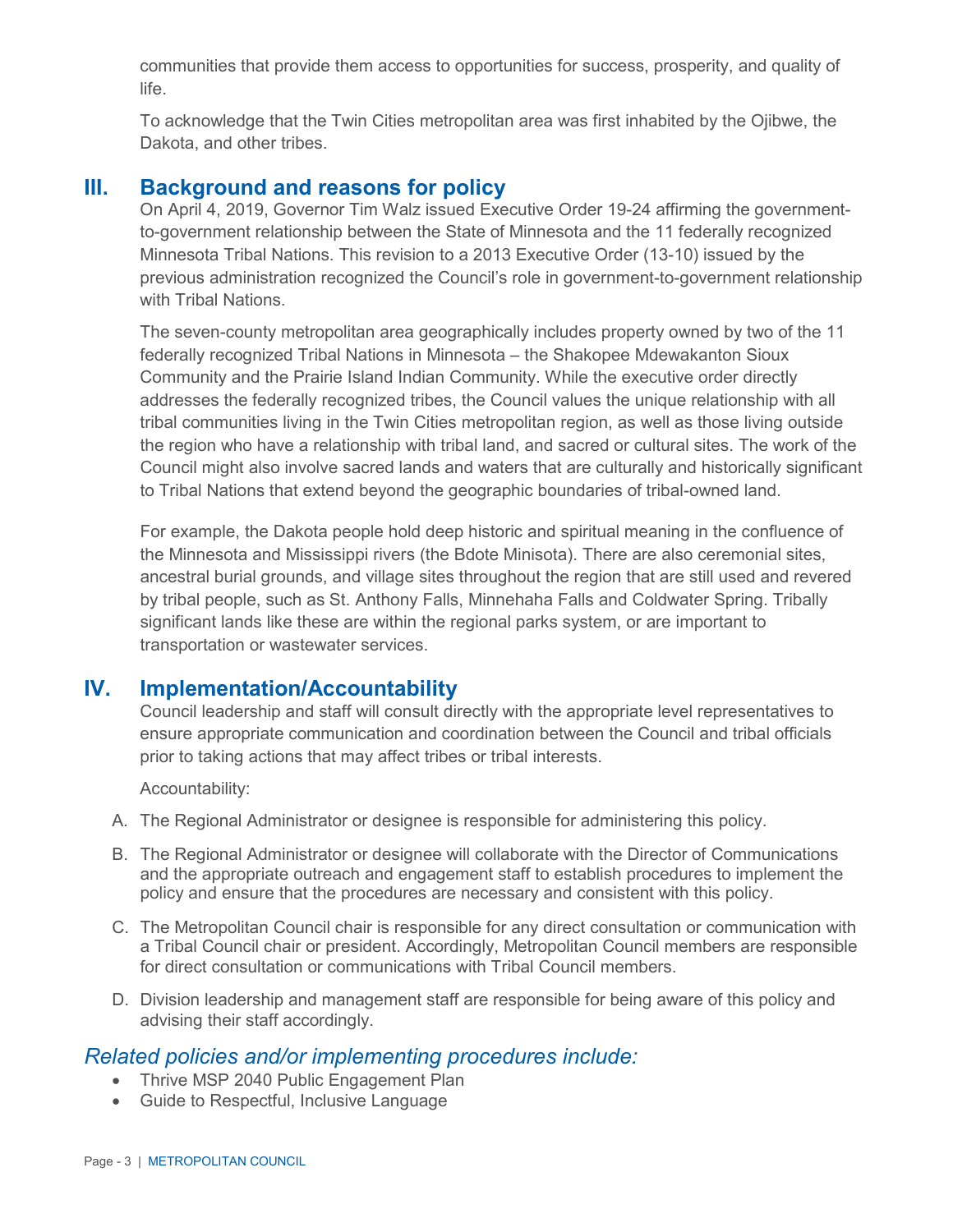communities that provide them access to opportunities for success, prosperity, and quality of life.

To acknowledge that the Twin Cities metropolitan area was first inhabited by the Ojibwe, the Dakota, and other tribes.

# **III. Background and reasons for policy**

On April 4, 2019, Governor Tim Walz issued Executive Order 19-24 affirming the governmentto-government relationship between the State of Minnesota and the 11 federally recognized Minnesota Tribal Nations. This revision to a 2013 Executive Order (13-10) issued by the previous administration recognized the Council's role in government-to-government relationship with Tribal Nations.

The seven-county metropolitan area geographically includes property owned by two of the 11 federally recognized Tribal Nations in Minnesota – the Shakopee Mdewakanton Sioux Community and the Prairie Island Indian Community. While the executive order directly addresses the federally recognized tribes, the Council values the unique relationship with all tribal communities living in the Twin Cities metropolitan region, as well as those living outside the region who have a relationship with tribal land, and sacred or cultural sites. The work of the Council might also involve sacred lands and waters that are culturally and historically significant to Tribal Nations that extend beyond the geographic boundaries of tribal-owned land.

For example, the Dakota people hold deep historic and spiritual meaning in the confluence of the Minnesota and Mississippi rivers (the Bdote Minisota). There are also ceremonial sites, ancestral burial grounds, and village sites throughout the region that are still used and revered by tribal people, such as St. Anthony Falls, Minnehaha Falls and Coldwater Spring. Tribally significant lands like these are within the regional parks system, or are important to transportation or wastewater services.

# **IV. Implementation/Accountability**

Council leadership and staff will consult directly with the appropriate level representatives to ensure appropriate communication and coordination between the Council and tribal officials prior to taking actions that may affect tribes or tribal interests.

Accountability:

- A. The Regional Administrator or designee is responsible for administering this policy.
- B. The Regional Administrator or designee will collaborate with the Director of Communications and the appropriate outreach and engagement staff to establish procedures to implement the policy and ensure that the procedures are necessary and consistent with this policy.
- C. The Metropolitan Council chair is responsible for any direct consultation or communication with a Tribal Council chair or president. Accordingly, Metropolitan Council members are responsible for direct consultation or communications with Tribal Council members.
- D. Division leadership and management staff are responsible for being aware of this policy and advising their staff accordingly.

## *Related policies and/or implementing procedures include:*

- Thrive MSP 2040 Public Engagement Plan
- Guide to Respectful, Inclusive Language